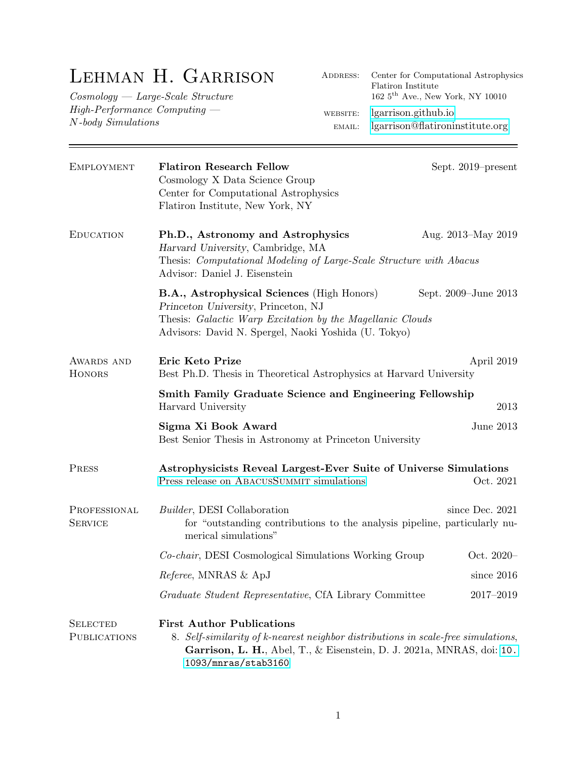## Lehman H. Garrison

Cosmology — Large-Scale Structure High-Performance Computing — N-body Simulations

| <b>EMPLOYMENT</b>                      | <b>Flatiron Research Fellow</b><br>Cosmology X Data Science Group<br>Center for Computational Astrophysics<br>Flatiron Institute, New York, NY                                                                        | Sept. 2019–present   |  |
|----------------------------------------|-----------------------------------------------------------------------------------------------------------------------------------------------------------------------------------------------------------------------|----------------------|--|
| <b>EDUCATION</b>                       | Ph.D., Astronomy and Astrophysics<br>Harvard University, Cambridge, MA<br>Thesis: Computational Modeling of Large-Scale Structure with Abacus<br>Advisor: Daniel J. Eisenstein                                        | Aug. 2013–May 2019   |  |
|                                        | <b>B.A., Astrophysical Sciences</b> (High Honors)<br>Princeton University, Princeton, NJ<br>Thesis: Galactic Warp Excitation by the Magellanic Clouds<br>Advisors: David N. Spergel, Naoki Yoshida (U. Tokyo)         | Sept. 2009–June 2013 |  |
| AWARDS AND<br><b>HONORS</b>            | Eric Keto Prize<br>Best Ph.D. Thesis in Theoretical Astrophysics at Harvard University                                                                                                                                | April 2019           |  |
|                                        | Smith Family Graduate Science and Engineering Fellowship<br>2013<br>Harvard University                                                                                                                                |                      |  |
|                                        | Sigma Xi Book Award<br>Best Senior Thesis in Astronomy at Princeton University                                                                                                                                        | June 2013            |  |
| PRESS                                  | Astrophysicists Reveal Largest-Ever Suite of Universe Simulations<br>Press release on ABACUSSUMMIT simulations                                                                                                        | Oct. 2021            |  |
| PROFESSIONAL<br><b>SERVICE</b>         | <i>Builder</i> , DESI Collaboration<br>for "outstanding contributions to the analysis pipeline, particularly nu-<br>merical simulations"                                                                              | since Dec. 2021      |  |
|                                        | Co-chair, DESI Cosmological Simulations Working Group                                                                                                                                                                 | Oct. 2020-           |  |
|                                        | Referee, MNRAS & ApJ                                                                                                                                                                                                  | since $2016$         |  |
|                                        | Graduate Student Representative, CfA Library Committee                                                                                                                                                                | 2017-2019            |  |
| <b>SELECTED</b><br><b>PUBLICATIONS</b> | <b>First Author Publications</b><br>8. Self-similarity of k-nearest neighbor distributions in scale-free simulations,<br>Garrison, L. H., Abel, T., & Eisenstein, D. J. 2021a, MNRAS, doi: 10.<br>1093/mnras/stab3160 |                      |  |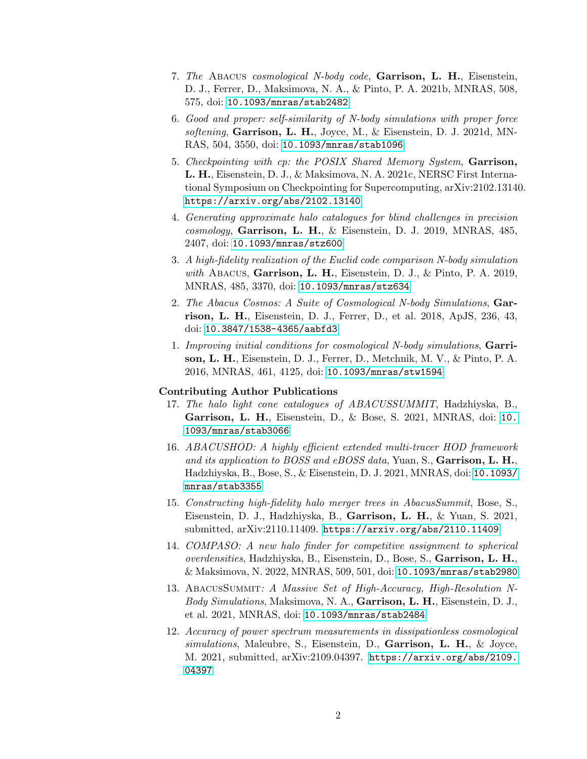- 7. The Abacus cosmological N-body code, Garrison, L. H., Eisenstein, D. J., Ferrer, D., Maksimova, N. A., & Pinto, P. A. 2021b, MNRAS, 508, 575, doi: [10.1093/mnras/stab2482](http://doi.org/10.1093/mnras/stab2482)
- 6. Good and proper: self-similarity of N-body simulations with proper force softening, Garrison, L. H., Joyce, M., & Eisenstein, D. J. 2021d, MN-RAS, 504, 3550, doi: [10.1093/mnras/stab1096](http://doi.org/10.1093/mnras/stab1096)
- 5. Checkpointing with cp: the POSIX Shared Memory System, Garrison, L. H., Eisenstein, D. J., & Maksimova, N. A. 2021c, NERSC First International Symposium on Checkpointing for Supercomputing, arXiv:2102.13140. <https://arxiv.org/abs/2102.13140>
- 4. Generating approximate halo catalogues for blind challenges in precision  $cosmology$ , Garrison, L. H., & Eisenstein, D. J. 2019, MNRAS, 485, 2407, doi: [10.1093/mnras/stz600](http://doi.org/10.1093/mnras/stz600)
- 3. A high-fidelity realization of the Euclid code comparison N-body simulation with Abacus, Garrison, L. H., Eisenstein, D. J., & Pinto, P. A. 2019, MNRAS, 485, 3370, doi: [10.1093/mnras/stz634](http://doi.org/10.1093/mnras/stz634)
- 2. The Abacus Cosmos: A Suite of Cosmological N-body Simulations, Garrison, L. H., Eisenstein, D. J., Ferrer, D., et al. 2018, ApJS, 236, 43, doi: [10.3847/1538-4365/aabfd3](http://doi.org/10.3847/1538-4365/aabfd3)
- 1. Improving initial conditions for cosmological N-body simulations, Garrison, L. H., Eisenstein, D. J., Ferrer, D., Metchnik, M. V., & Pinto, P. A. 2016, MNRAS, 461, 4125, doi: [10.1093/mnras/stw1594](http://doi.org/10.1093/mnras/stw1594)

## Contributing Author Publications

- 17. The halo light cone catalogues of ABACUSSUMMIT, Hadzhiyska, B., Garrison, L. H., Eisenstein, D., & Bose, S. 2021, MNRAS, doi: [10.](http://doi.org/10.1093/mnras/stab3066) [1093/mnras/stab3066](http://doi.org/10.1093/mnras/stab3066)
- 16. ABACUSHOD: A highly efficient extended multi-tracer HOD framework and its application to BOSS and  $eBOSS$  data, Yuan, S., Garrison, L. H., Hadzhiyska, B., Bose, S., & Eisenstein, D. J. 2021, MNRAS, doi: [10.1093/](http://doi.org/10.1093/mnras/stab3355) [mnras/stab3355](http://doi.org/10.1093/mnras/stab3355)
- 15. Constructing high-fidelity halo merger trees in AbacusSummit, Bose, S., Eisenstein, D. J., Hadzhiyska, B., Garrison, L. H., & Yuan, S. 2021, submitted, arXiv:2110.11409. <https://arxiv.org/abs/2110.11409>
- 14. COMPASO: A new halo finder for competitive assignment to spherical overdensities, Hadzhiyska, B., Eisenstein, D., Bose, S., Garrison, L. H., & Maksimova, N. 2022, MNRAS, 509, 501, doi: [10.1093/mnras/stab2980](http://doi.org/10.1093/mnras/stab2980)
- 13. AbacusSummit: A Massive Set of High-Accuracy, High-Resolution N-Body Simulations, Maksimova, N. A., Garrison, L. H., Eisenstein, D. J., et al. 2021, MNRAS, doi: [10.1093/mnras/stab2484](http://doi.org/10.1093/mnras/stab2484)
- 12. Accuracy of power spectrum measurements in dissipationless cosmological  $simulations$ , Maleubre, S., Eisenstein, D., Garrison, L. H., & Joyce, M. 2021, submitted, arXiv:2109.04397. [https://arxiv.org/abs/2109.](https://arxiv.org/abs/2109.04397) [04397](https://arxiv.org/abs/2109.04397)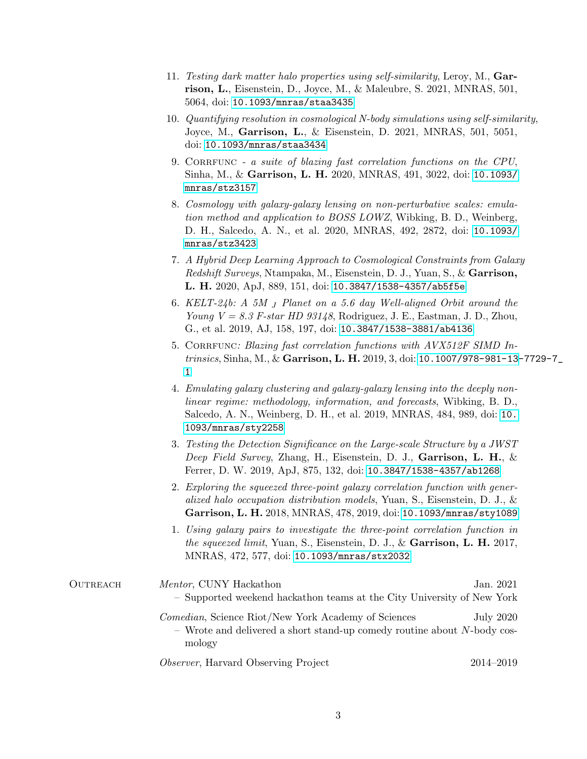- 11. Testing dark matter halo properties using self-similarity, Leroy, M., Garrison, L., Eisenstein, D., Joyce, M., & Maleubre, S. 2021, MNRAS, 501, 5064, doi: [10.1093/mnras/staa3435](http://doi.org/10.1093/mnras/staa3435)
- 10. Quantifying resolution in cosmological N-body simulations using self-similarity, Joyce, M., Garrison, L., & Eisenstein, D. 2021, MNRAS, 501, 5051, doi: [10.1093/mnras/staa3434](http://doi.org/10.1093/mnras/staa3434)
- 9. CORREUNC a suite of blazing fast correlation functions on the CPU, Sinha, M., & Garrison, L. H. 2020, MNRAS, 491, 3022, doi: [10.1093/](http://doi.org/10.1093/mnras/stz3157) [mnras/stz3157](http://doi.org/10.1093/mnras/stz3157)
- 8. Cosmology with galaxy-galaxy lensing on non-perturbative scales: emulation method and application to BOSS LOWZ, Wibking, B. D., Weinberg, D. H., Salcedo, A. N., et al. 2020, MNRAS, 492, 2872, doi: [10.1093/](http://doi.org/10.1093/mnras/stz3423) [mnras/stz3423](http://doi.org/10.1093/mnras/stz3423)
- 7. A Hybrid Deep Learning Approach to Cosmological Constraints from Galaxy Redshift Surveys, Ntampaka, M., Eisenstein, D. J., Yuan, S., & Garrison, L. H. 2020, ApJ, 889, 151, doi: [10.3847/1538-4357/ab5f5e](http://doi.org/10.3847/1538-4357/ab5f5e)
- 6. KELT-24b: A 5M <sup>J</sup> Planet on a 5.6 day Well-aligned Orbit around the Young  $V = 8.3$  F-star HD 93148, Rodriguez, J. E., Eastman, J. D., Zhou, G., et al. 2019, AJ, 158, 197, doi: [10.3847/1538-3881/ab4136](http://doi.org/10.3847/1538-3881/ab4136)
- 5. CORRFUNC: Blazing fast correlation functions with AVX512F SIMD In*trinsics*, Sinha, M., & Garrison, L. H. 2019, 3, doi: [10.1007/978-981-13-](http://doi.org/10.1007/978-981-13-7729-7_1)7729-7 [1](http://doi.org/10.1007/978-981-13-7729-7_1)
- 4. Emulating galaxy clustering and galaxy-galaxy lensing into the deeply nonlinear regime: methodology, information, and forecasts, Wibking, B. D., Salcedo, A. N., Weinberg, D. H., et al. 2019, MNRAS, 484, 989, doi: [10.](http://doi.org/10.1093/mnras/sty2258) [1093/mnras/sty2258](http://doi.org/10.1093/mnras/sty2258)
- 3. Testing the Detection Significance on the Large-scale Structure by a JWST Deep Field Survey, Zhang, H., Eisenstein, D. J., Garrison, L. H., & Ferrer, D. W. 2019, ApJ, 875, 132, doi: [10.3847/1538-4357/ab1268](http://doi.org/10.3847/1538-4357/ab1268)
- 2. Exploring the squeezed three-point galaxy correlation function with generalized halo occupation distribution models, Yuan, S., Eisenstein, D. J., & Garrison, L. H. 2018, MNRAS, 478, 2019, doi: [10.1093/mnras/sty1089](http://doi.org/10.1093/mnras/sty1089)
- 1. Using galaxy pairs to investigate the three-point correlation function in the squeezed limit, Yuan, S., Eisenstein, D. J., & Garrison, L. H. 2017, MNRAS, 472, 577, doi: [10.1093/mnras/stx2032](http://doi.org/10.1093/mnras/stx2032)

| OUTREACH | <i>Mentor</i> , CUNY Hackathon<br>- Supported weekend hackathon teams at the City University of New York                                         | Jan. 2021 |
|----------|--------------------------------------------------------------------------------------------------------------------------------------------------|-----------|
|          | <i>Comedian</i> , Science Riot/New York Academy of Sciences<br>- Wrote and delivered a short stand-up comedy routine about N-body cos-<br>mology | July 2020 |
|          | <i>Observer</i> , Harvard Observing Project                                                                                                      | 2014–2019 |